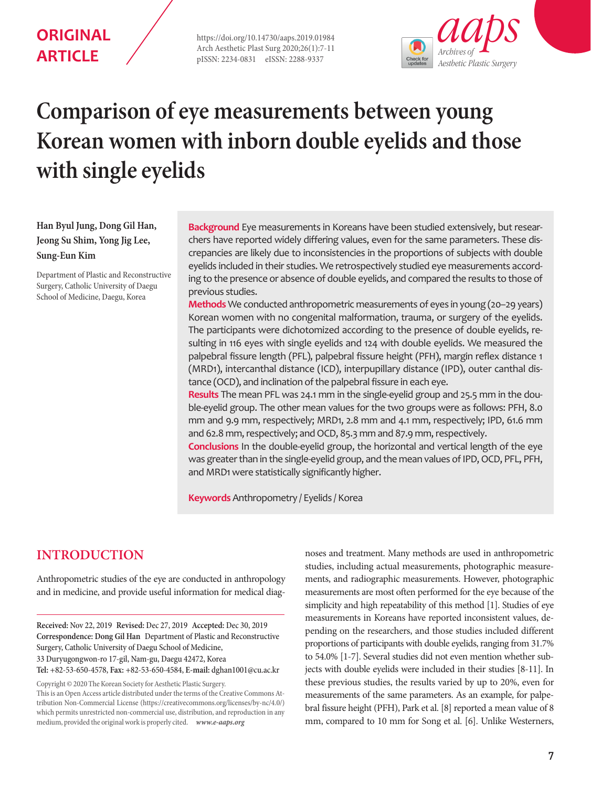# **ORIGINAL ARTICLE**

https://doi.org/10.14730/aaps.2019.01984 Arch Aesthetic Plast Surg 2020;26(1):7-11 pISSN: 2234-0831 eISSN: 2288-9337



# **Comparison of eye measurements between young Korean women with inborn double eyelids and those with single eyelids**

**Han Byul Jung, Dong Gil Han, Jeong Su Shim, Yong Jig Lee, Sung-Eun Kim**

Department of Plastic and Reconstructive Surgery, Catholic University of Daegu School of Medicine, Daegu, Korea

**Background** Eye measurements in Koreans have been studied extensively, but researchers have reported widely differing values, even for the same parameters. These discrepancies are likely due to inconsistencies in the proportions of subjects with double eyelids included in their studies. We retrospectively studied eye measurements according to the presence or absence of double eyelids, and compared the results to those of previous studies.

**Methods** We conducted anthropometric measurements of eyes in young (20–29 years) Korean women with no congenital malformation, trauma, or surgery of the eyelids. The participants were dichotomized according to the presence of double eyelids, resulting in 116 eyes with single eyelids and 124 with double eyelids. We measured the palpebral fissure length (PFL), palpebral fissure height (PFH), margin reflex distance 1 (MRD1), intercanthal distance (ICD), interpupillary distance (IPD), outer canthal distance (OCD), and inclination of the palpebral fissure in each eye.

**Results** The mean PFL was 24.1 mm in the single-eyelid group and 25.5 mm in the double-eyelid group. The other mean values for the two groups were as follows: PFH, 8.0 mm and 9.9 mm, respectively; MRD1, 2.8 mm and 4.1 mm, respectively; IPD, 61.6 mm and 62.8 mm, respectively; and OCD, 85.3 mm and 87.9 mm, respectively.

**Conclusions** In the double-eyelid group, the horizontal and vertical length of the eye was greater than in the single-eyelid group, and the mean values of IPD, OCD, PFL, PFH, and MRD1 were statistically significantly higher.

**Keywords** Anthropometry / Eyelids / Korea

# **INTRODUCTION**

Anthropometric studies of the eye are conducted in anthropology and in medicine, and provide useful information for medical diag-

**Received:** Nov 22, 2019 **Revised:** Dec 27, 2019 **Accepted:** Dec 30, 2019 **Correspondence: Dong Gil Han** Department of Plastic and Reconstructive Surgery, Catholic University of Daegu School of Medicine, 33 Duryugongwon-ro 17-gil, Nam-gu, Daegu 42472, Korea **Tel:** +82-53-650-4578, **Fax:** +82-53-650-4584, **E-mail:** dghan1001@cu.ac.kr

Copyright © 2020 The Korean Society for Aesthetic Plastic Surgery.

This is an Open Access article distributed under the terms of the Creative Commons Attribution Non-Commercial License (https://creativecommons.org/licenses/by-nc/4.0/) which permits unrestricted non-commercial use, distribution, and reproduction in any medium, provided the original work is properly cited. *www.e-aaps.org* 

noses and treatment. Many methods are used in anthropometric studies, including actual measurements, photographic measurements, and radiographic measurements. However, photographic measurements are most often performed for the eye because of the simplicity and high repeatability of this method [1]. Studies of eye measurements in Koreans have reported inconsistent values, depending on the researchers, and those studies included different proportions of participants with double eyelids, ranging from 31.7% to 54.0% [1-7]. Several studies did not even mention whether subjects with double eyelids were included in their studies [8-11]. In these previous studies, the results varied by up to 20%, even for measurements of the same parameters. As an example, for palpebral fissure height (PFH), Park et al. [8] reported a mean value of 8 mm, compared to 10 mm for Song et al. [6]. Unlike Westerners,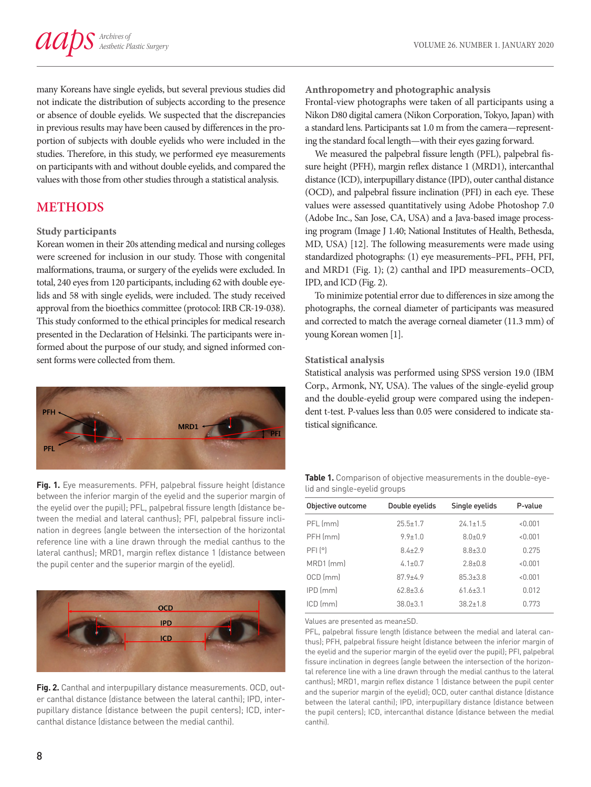many Koreans have single eyelids, but several previous studies did not indicate the distribution of subjects according to the presence or absence of double eyelids. We suspected that the discrepancies in previous results may have been caused by differences in the proportion of subjects with double eyelids who were included in the studies. Therefore, in this study, we performed eye measurements on participants with and without double eyelids, and compared the values with those from other studies through a statistical analysis.

# **METHODS**

#### **Study participants**

Korean women in their 20s attending medical and nursing colleges were screened for inclusion in our study. Those with congenital malformations, trauma, or surgery of the eyelids were excluded. In total, 240 eyes from 120 participants, including 62 with double eyelids and 58 with single eyelids, were included. The study received approval from the bioethics committee (protocol: IRB CR-19-038). This study conformed to the ethical principles for medical research presented in the Declaration of Helsinki. The participants were informed about the purpose of our study, and signed informed consent forms were collected from them.



**Fig. 1.** Eye measurements. PFH, palpebral fissure height (distance between the inferior margin of the eyelid and the superior margin of the eyelid over the pupil); PFL, palpebral fissure length (distance between the medial and lateral canthus); PFI, palpebral fissure inclination in degrees (angle between the intersection of the horizontal reference line with a line drawn through the medial canthus to the lateral canthus); MRD1, margin reflex distance 1 (distance between the pupil center and the superior margin of the eyelid).



**Fig. 2.** Canthal and interpupillary distance measurements. OCD, outer canthal distance (distance between the lateral canthi); IPD, interpupillary distance (distance between the pupil centers); ICD, intercanthal distance (distance between the medial canthi).

**Anthropometry and photographic analysis**

Frontal-view photographs were taken of all participants using a Nikon D80 digital camera (Nikon Corporation, Tokyo, Japan) with a standard lens. Participants sat 1.0 m from the camera—representing the standard focal length—with their eyes gazing forward.

We measured the palpebral fissure length (PFL), palpebral fissure height (PFH), margin reflex distance 1 (MRD1), intercanthal distance (ICD), interpupillary distance (IPD), outer canthal distance (OCD), and palpebral fissure inclination (PFI) in each eye. These values were assessed quantitatively using Adobe Photoshop 7.0 (Adobe Inc., San Jose, CA, USA) and a Java-based image processing program (Image J 1.40; National Institutes of Health, Bethesda, MD, USA) [12]. The following measurements were made using standardized photographs: (1) eye measurements–PFL, PFH, PFI, and MRD1 (Fig. 1); (2) canthal and IPD measurements–OCD, IPD, and ICD (Fig. 2).

To minimize potential error due to differences in size among the photographs, the corneal diameter of participants was measured and corrected to match the average corneal diameter (11.3 mm) of young Korean women [1].

#### **Statistical analysis**

Statistical analysis was performed using SPSS version 19.0 (IBM Corp., Armonk, NY, USA). The values of the single-eyelid group and the double-eyelid group were compared using the independent t-test. P-values less than 0.05 were considered to indicate statistical significance.

**Table 1.** Comparison of objective measurements in the double-eyelid and single-eyelid groups

| Objective outcome | Double eyelids | Single eyelids | P-value |  |
|-------------------|----------------|----------------|---------|--|
| PFL (mm)          | $25.5 \pm 1.7$ | $24.1 \pm 1.5$ | < 0.001 |  |
| PFH (mm)          | $9.9 \pm 1.0$  | $8.0 + 0.9$    | < 0.001 |  |
| PFI[°]            | $84+79$        | $8.8 \pm 3.0$  | 0.275   |  |
| MRD1 (mm)         | $4.1 \pm 0.7$  | $28+08$        | < 0.001 |  |
| OCD (mm)          | $879 + 49$     | $85.3 + 3.8$   | < 0.001 |  |
| IPD (mm)          | $628+36$       | $61.6 \pm 3.1$ | 0.012   |  |
| $ICD$ ( $mm$ )    | $380+31$       | $382+18$       | 0.773   |  |
|                   |                |                |         |  |

Values are presented as mean±SD.

PFL, palpebral fissure length (distance between the medial and lateral canthus); PFH, palpebral fissure height (distance between the inferior margin of the eyelid and the superior margin of the eyelid over the pupil); PFI, palpebral fissure inclination in degrees (angle between the intersection of the horizontal reference line with a line drawn through the medial canthus to the lateral canthus); MRD1, margin reflex distance 1 (distance between the pupil center and the superior margin of the eyelid); OCD, outer canthal distance (distance between the lateral canthi); IPD, interpupillary distance (distance between the pupil centers); ICD, intercanthal distance (distance between the medial canthi).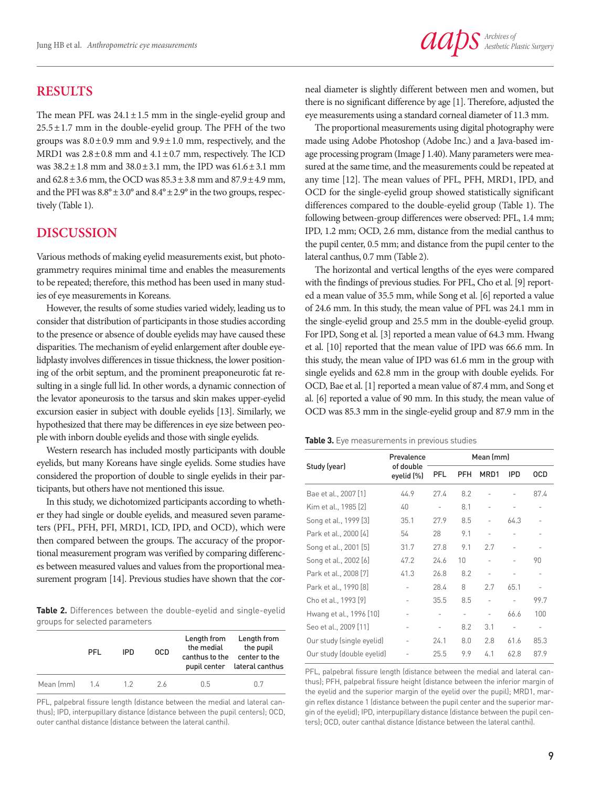### **RESULTS**

The mean PFL was  $24.1 \pm 1.5$  mm in the single-eyelid group and  $25.5 \pm 1.7$  mm in the double-eyelid group. The PFH of the two groups was  $8.0 \pm 0.9$  mm and  $9.9 \pm 1.0$  mm, respectively, and the MRD1 was  $2.8 \pm 0.8$  mm and  $4.1 \pm 0.7$  mm, respectively. The ICD was  $38.2 \pm 1.8$  mm and  $38.0 \pm 3.1$  mm, the IPD was  $61.6 \pm 3.1$  mm and 62.8±3.6 mm, the OCD was 85.3±3.8 mm and 87.9±4.9 mm, and the PFI was  $8.8^{\circ} \pm 3.0^{\circ}$  and  $8.4^{\circ} \pm 2.9^{\circ}$  in the two groups, respectively (Table 1).

#### **DISCUSSION**

Various methods of making eyelid measurements exist, but photogrammetry requires minimal time and enables the measurements to be repeated; therefore, this method has been used in many studies of eye measurements in Koreans.

However, the results of some studies varied widely, leading us to consider that distribution of participants in those studies according to the presence or absence of double eyelids may have caused these disparities. The mechanism of eyelid enlargement after double eyelidplasty involves differences in tissue thickness, the lower positioning of the orbit septum, and the prominent preaponeurotic fat resulting in a single full lid. In other words, a dynamic connection of the levator aponeurosis to the tarsus and skin makes upper-eyelid excursion easier in subject with double eyelids [13]. Similarly, we hypothesized that there may be differences in eye size between people with inborn double eyelids and those with single eyelids.

Western research has included mostly participants with double eyelids, but many Koreans have single eyelids. Some studies have considered the proportion of double to single eyelids in their participants, but others have not mentioned this issue.

In this study, we dichotomized participants according to whether they had single or double eyelids, and measured seven parameters (PFL, PFH, PFI, MRD1, ICD, IPD, and OCD), which were then compared between the groups. The accuracy of the proportional measurement program was verified by comparing differences between measured values and values from the proportional measurement program [14]. Previous studies have shown that the cor-

**Table 2.** Differences between the double-eyelid and single-eyelid groups for selected parameters

|                        | PFL | IPD. | <b>OCD</b> | Length from<br>the medial<br>canthus to the | Length from<br>the pupil<br>center to the<br>pupil center lateral canthus |
|------------------------|-----|------|------------|---------------------------------------------|---------------------------------------------------------------------------|
| Mean $\text{[mm]}$ 1.4 |     | 12   | 26         | 0.5                                         | n 7                                                                       |

PFL, palpebral fissure length (distance between the medial and lateral canthus); IPD, interpupillary distance (distance between the pupil centers); OCD, outer canthal distance (distance between the lateral canthi).

neal diameter is slightly different between men and women, but there is no significant difference by age [1]. Therefore, adjusted the eye measurements using a standard corneal diameter of 11.3 mm.

The proportional measurements using digital photography were made using Adobe Photoshop (Adobe Inc.) and a Java-based image processing program (Image J 1.40). Many parameters were measured at the same time, and the measurements could be repeated at any time [12]. The mean values of PFL, PFH, MRD1, IPD, and OCD for the single-eyelid group showed statistically significant differences compared to the double-eyelid group (Table 1). The following between-group differences were observed: PFL, 1.4 mm; IPD, 1.2 mm; OCD, 2.6 mm, distance from the medial canthus to the pupil center, 0.5 mm; and distance from the pupil center to the lateral canthus, 0.7 mm (Table 2).

The horizontal and vertical lengths of the eyes were compared with the findings of previous studies. For PFL, Cho et al. [9] reported a mean value of 35.5 mm, while Song et al. [6] reported a value of 24.6 mm. In this study, the mean value of PFL was 24.1 mm in the single-eyelid group and 25.5 mm in the double-eyelid group. For IPD, Song et al. [3] reported a mean value of 64.3 mm. Hwang et al. [10] reported that the mean value of IPD was 66.6 mm. In this study, the mean value of IPD was 61.6 mm in the group with single eyelids and 62.8 mm in the group with double eyelids. For OCD, Bae et al. [1] reported a mean value of 87.4 mm, and Song et al. [6] reported a value of 90 mm. In this study, the mean value of OCD was 85.3 mm in the single-eyelid group and 87.9 mm in the

|  |  | <b>Table 3.</b> Eye measurements in previous studies |  |  |  |
|--|--|------------------------------------------------------|--|--|--|
|--|--|------------------------------------------------------|--|--|--|

|                           | Prevalence<br>of double<br>eyelid (%) | Mean (mm)                |                   |                          |            |            |
|---------------------------|---------------------------------------|--------------------------|-------------------|--------------------------|------------|------------|
| Study (year)              |                                       | <b>PFL</b>               | PFH               | MRD1                     | <b>IPD</b> | <b>OCD</b> |
| Bae et al., 2007 [1]      | 44.9                                  | 27.4                     | 8.2               |                          |            | 87.4       |
| Kim et al., 1985 [2]      | 40                                    | $\overline{\phantom{0}}$ | 8.1               |                          |            |            |
| Song et al., 1999 [3]     | 35.1                                  | 27.9                     | 8.5               | $\overline{a}$           | 64.3       |            |
| Park et al., 2000 [4]     | 54                                    | 28                       | 9.1               |                          |            |            |
| Song et al., 2001 [5]     | 31.7                                  | 27.8                     | 9.1               | 2.7                      |            |            |
| Song et al., 2002 [6]     | 47.2                                  | 24.6                     | 10                |                          |            | 90         |
| Park et al., 2008 [7]     | 41.3                                  | 26.8                     | 8.2               | $\overline{a}$           |            |            |
| Park et al., 1990 [8]     |                                       | 28.4                     | 8                 | 2.7                      | 65.1       |            |
| Cho et al., 1993 [9]      |                                       | 35.5                     | 8.5               | $\overline{\phantom{0}}$ |            | 99.7       |
| Hwang et al., 1996 [10]   |                                       | $\qquad \qquad -$        | $\qquad \qquad -$ | $\overline{\phantom{0}}$ | 66.6       | 100        |
| Seo et al., 2009 [11]     |                                       | $\overline{a}$           | 8.2               | 3.1                      |            |            |
| Our study (single eyelid) |                                       | 24.1                     | 8.0               | 2.8                      | 61.6       | 85.3       |
| Our study (double eyelid) |                                       | 25.5                     | 9.9               | 4.1                      | 62.8       | 87.9       |

PFL, palpebral fissure length (distance between the medial and lateral canthus); PFH, palpebral fissure height (distance between the inferior margin of the eyelid and the superior margin of the eyelid over the pupil); MRD1, margin reflex distance 1 (distance between the pupil center and the superior margin of the eyelid); IPD, interpupillary distance (distance between the pupil centers); OCD, outer canthal distance (distance between the lateral canthi).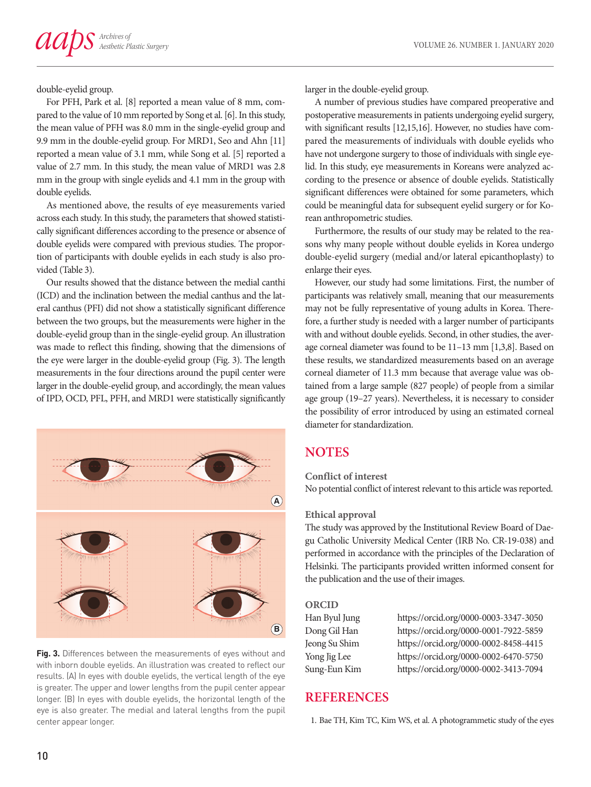double-eyelid group.

For PFH, Park et al. [8] reported a mean value of 8 mm, compared to the value of 10 mm reported by Song et al. [6]. In this study, the mean value of PFH was 8.0 mm in the single-eyelid group and 9.9 mm in the double-eyelid group. For MRD1, Seo and Ahn [11] reported a mean value of 3.1 mm, while Song et al. [5] reported a value of 2.7 mm. In this study, the mean value of MRD1 was 2.8 mm in the group with single eyelids and 4.1 mm in the group with double eyelids.

As mentioned above, the results of eye measurements varied across each study. In this study, the parameters that showed statistically significant differences according to the presence or absence of double eyelids were compared with previous studies. The proportion of participants with double eyelids in each study is also provided (Table 3).

Our results showed that the distance between the medial canthi (ICD) and the inclination between the medial canthus and the lateral canthus (PFI) did not show a statistically significant difference between the two groups, but the measurements were higher in the double-eyelid group than in the single-eyelid group. An illustration was made to reflect this finding, showing that the dimensions of the eye were larger in the double-eyelid group (Fig. 3). The length measurements in the four directions around the pupil center were larger in the double-eyelid group, and accordingly, the mean values of IPD, OCD, PFL, PFH, and MRD1 were statistically significantly



**Fig. 3.** Differences between the measurements of eyes without and with inborn double eyelids. An illustration was created to reflect our results. (A) In eyes with double eyelids, the vertical length of the eye is greater. The upper and lower lengths from the pupil center appear longer. (B) In eyes with double eyelids, the horizontal length of the eye is also greater. The medial and lateral lengths from the pupil center appear longer.

larger in the double-eyelid group.

A number of previous studies have compared preoperative and postoperative measurements in patients undergoing eyelid surgery, with significant results [12,15,16]. However, no studies have compared the measurements of individuals with double eyelids who have not undergone surgery to those of individuals with single eyelid. In this study, eye measurements in Koreans were analyzed according to the presence or absence of double eyelids. Statistically significant differences were obtained for some parameters, which could be meaningful data for subsequent eyelid surgery or for Korean anthropometric studies.

Furthermore, the results of our study may be related to the reasons why many people without double eyelids in Korea undergo double-eyelid surgery (medial and/or lateral epicanthoplasty) to enlarge their eyes.

However, our study had some limitations. First, the number of participants was relatively small, meaning that our measurements may not be fully representative of young adults in Korea. Therefore, a further study is needed with a larger number of participants with and without double eyelids. Second, in other studies, the average corneal diameter was found to be 11–13 mm [1,3,8]. Based on these results, we standardized measurements based on an average corneal diameter of 11.3 mm because that average value was obtained from a large sample (827 people) of people from a similar age group (19–27 years). Nevertheless, it is necessary to consider the possibility of error introduced by using an estimated corneal diameter for standardization.

## **NOTES**

#### **Conflict of interest**

No potential conflict of interest relevant to this article was reported.

#### **Ethical approval**

The study was approved by the Institutional Review Board of Daegu Catholic University Medical Center (IRB No. CR-19-038) and performed in accordance with the principles of the Declaration of Helsinki. The participants provided written informed consent for the publication and the use of their images.

#### **ORCID**

| Han Byul Jung |
|---------------|
| Dong Gil Han  |
| Jeong Su Shim |
| Yong Jig Lee  |
| Sung-Eun Kim  |

https://orcid.org/0000-0003-3347-3050 https://orcid.org/0000-0001-7922-5859 https://orcid.org/0000-0002-8458-4415 https://orcid.org/0000-0002-6470-5750 <https://orcid.org/0000-0002-3413-7094>

### **REFERENCES**

1. Bae TH, Kim TC, Kim WS, et al. A photogrammetic study of the eyes